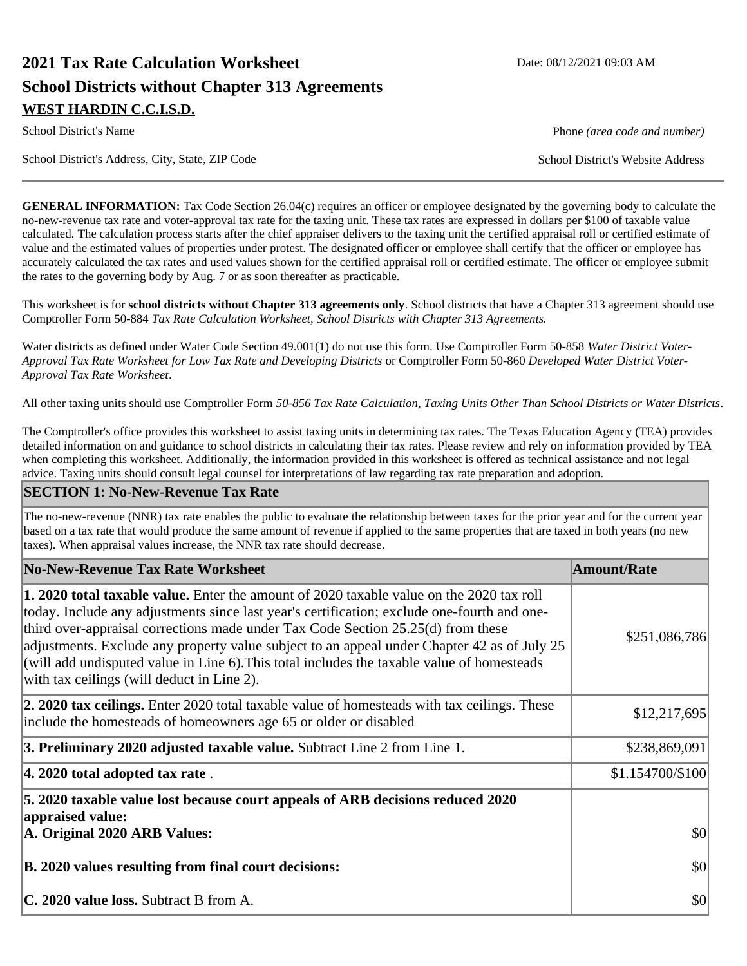# **2021 Tax Rate Calculation Worksheet Date: 08/12/2021 09:03 AM School Districts without Chapter 313 Agreements WEST HARDIN C.C.I.S.D.**

School District's Address, City, State, ZIP Code School District's Website Address

School District's Name **Phone** *(area code and number)* Phone *(area code and number)* 

**GENERAL INFORMATION:** Tax Code Section 26.04(c) requires an officer or employee designated by the governing body to calculate the no-new-revenue tax rate and voter-approval tax rate for the taxing unit. These tax rates are expressed in dollars per \$100 of taxable value calculated. The calculation process starts after the chief appraiser delivers to the taxing unit the certified appraisal roll or certified estimate of value and the estimated values of properties under protest. The designated officer or employee shall certify that the officer or employee has accurately calculated the tax rates and used values shown for the certified appraisal roll or certified estimate. The officer or employee submit the rates to the governing body by Aug. 7 or as soon thereafter as practicable.

This worksheet is for **school districts without Chapter 313 agreements only**. School districts that have a Chapter 313 agreement should use Comptroller Form 50-884 *Tax Rate Calculation Worksheet, School Districts with Chapter 313 Agreements.*

Water districts as defined under Water Code Section 49.001(1) do not use this form. Use Comptroller Form 50-858 *Water District Voter-Approval Tax Rate Worksheet for Low Tax Rate and Developing Districts* or Comptroller Form 50-860 *Developed Water District Voter-Approval Tax Rate Worksheet*.

All other taxing units should use Comptroller Form *50-856 Tax Rate Calculation, Taxing Units Other Than School Districts or Water Districts*.

The Comptroller's office provides this worksheet to assist taxing units in determining tax rates. The Texas Education Agency (TEA) provides detailed information on and guidance to school districts in calculating their tax rates. Please review and rely on information provided by TEA when completing this worksheet. Additionally, the information provided in this worksheet is offered as technical assistance and not legal advice. Taxing units should consult legal counsel for interpretations of law regarding tax rate preparation and adoption.

#### **SECTION 1: No-New-Revenue Tax Rate**

The no-new-revenue (NNR) tax rate enables the public to evaluate the relationship between taxes for the prior year and for the current year based on a tax rate that would produce the same amount of revenue if applied to the same properties that are taxed in both years (no new taxes). When appraisal values increase, the NNR tax rate should decrease.

| No-New-Revenue Tax Rate Worksheet                                                                                                                                                                                                                                                                                                                                                                                                                                                                                             | <b>Amount/Rate</b> |
|-------------------------------------------------------------------------------------------------------------------------------------------------------------------------------------------------------------------------------------------------------------------------------------------------------------------------------------------------------------------------------------------------------------------------------------------------------------------------------------------------------------------------------|--------------------|
| <b>1. 2020 total taxable value.</b> Enter the amount of 2020 taxable value on the 2020 tax roll<br>today. Include any adjustments since last year's certification; exclude one-fourth and one-<br>third over-appraisal corrections made under Tax Code Section 25.25(d) from these<br>adjustments. Exclude any property value subject to an appeal under Chapter 42 as of July 25<br>(will add undisputed value in Line 6). This total includes the taxable value of homesteads<br>with tax ceilings (will deduct in Line 2). | \$251,086,786      |
| <b>2. 2020 tax ceilings.</b> Enter 2020 total taxable value of homesteads with tax ceilings. These<br>include the homesteads of homeowners age 65 or older or disabled                                                                                                                                                                                                                                                                                                                                                        | \$12,217,695       |
| 3. Preliminary 2020 adjusted taxable value. Subtract Line 2 from Line 1.                                                                                                                                                                                                                                                                                                                                                                                                                                                      | \$238,869,091      |
| $ 4.2020$ total adopted tax rate.                                                                                                                                                                                                                                                                                                                                                                                                                                                                                             | \$1.154700/\$100   |
| 5. 2020 taxable value lost because court appeals of ARB decisions reduced 2020<br>appraised value:<br>A. Original 2020 ARB Values:                                                                                                                                                                                                                                                                                                                                                                                            | \$0                |
| B. 2020 values resulting from final court decisions:                                                                                                                                                                                                                                                                                                                                                                                                                                                                          | $ 10\rangle$       |
| <b>C. 2020 value loss.</b> Subtract B from A.                                                                                                                                                                                                                                                                                                                                                                                                                                                                                 | $ 10\rangle$       |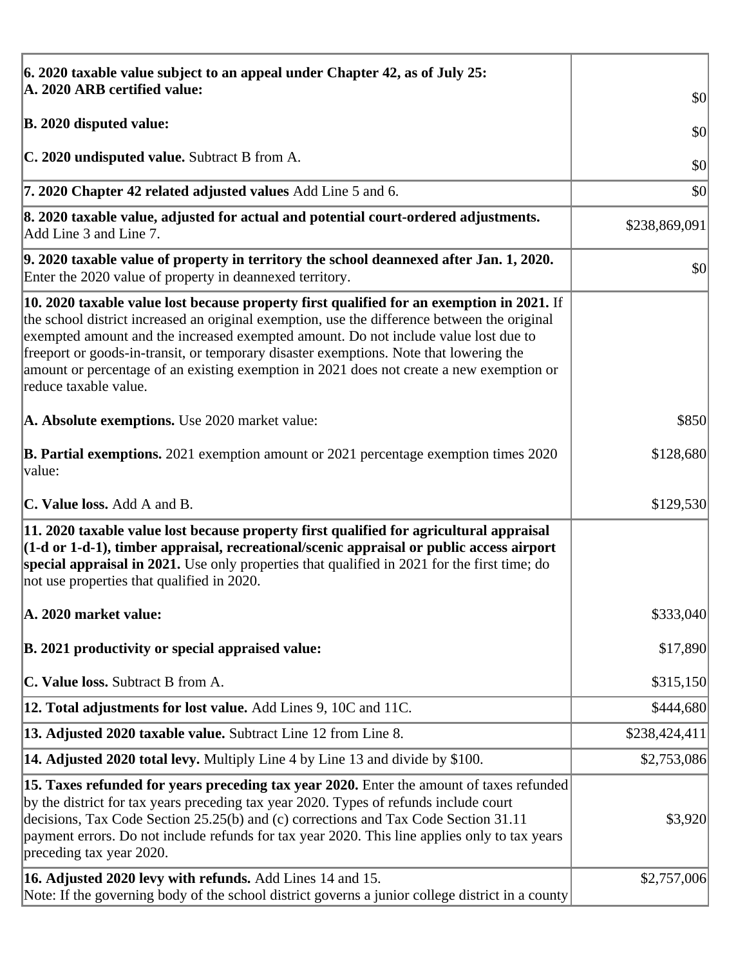| 6. 2020 taxable value subject to an appeal under Chapter 42, as of July 25:                                                                                                                                                                                                                                                                                                                                                                                                                             |               |
|---------------------------------------------------------------------------------------------------------------------------------------------------------------------------------------------------------------------------------------------------------------------------------------------------------------------------------------------------------------------------------------------------------------------------------------------------------------------------------------------------------|---------------|
| A. 2020 ARB certified value:                                                                                                                                                                                                                                                                                                                                                                                                                                                                            | \$0           |
| <b>B. 2020 disputed value:</b>                                                                                                                                                                                                                                                                                                                                                                                                                                                                          | \$0           |
| C. 2020 undisputed value. Subtract B from A.                                                                                                                                                                                                                                                                                                                                                                                                                                                            | \$0           |
| 7. 2020 Chapter 42 related adjusted values Add Line 5 and 6.                                                                                                                                                                                                                                                                                                                                                                                                                                            | \$0           |
| 8. 2020 taxable value, adjusted for actual and potential court-ordered adjustments.<br>Add Line 3 and Line 7.                                                                                                                                                                                                                                                                                                                                                                                           | \$238,869,091 |
| 9. 2020 taxable value of property in territory the school deannexed after Jan. 1, 2020.<br>Enter the 2020 value of property in deannexed territory.                                                                                                                                                                                                                                                                                                                                                     | \$0           |
| $\vert$ 10. 2020 taxable value lost because property first qualified for an exemption in 2021. If<br>the school district increased an original exemption, use the difference between the original<br>exempted amount and the increased exempted amount. Do not include value lost due to<br>freeport or goods-in-transit, or temporary disaster exemptions. Note that lowering the<br>amount or percentage of an existing exemption in 2021 does not create a new exemption or<br>reduce taxable value. |               |
| A. Absolute exemptions. Use 2020 market value:                                                                                                                                                                                                                                                                                                                                                                                                                                                          | \$850         |
| <b>B. Partial exemptions.</b> 2021 exemption amount or 2021 percentage exemption times 2020<br> value:                                                                                                                                                                                                                                                                                                                                                                                                  | \$128,680     |
| <b>C. Value loss.</b> Add A and B.                                                                                                                                                                                                                                                                                                                                                                                                                                                                      | \$129,530     |
| 11. 2020 taxable value lost because property first qualified for agricultural appraisal<br>$(1-d \text{ or } 1-d-1)$ , timber appraisal, recreational/scenic appraisal or public access airport<br>special appraisal in 2021. Use only properties that qualified in 2021 for the first time; do<br>not use properties that qualified in 2020.                                                                                                                                                           |               |
| A. 2020 market value:                                                                                                                                                                                                                                                                                                                                                                                                                                                                                   | \$333,040     |
| B. 2021 productivity or special appraised value:                                                                                                                                                                                                                                                                                                                                                                                                                                                        | \$17,890      |
| C. Value loss. Subtract B from A.                                                                                                                                                                                                                                                                                                                                                                                                                                                                       | \$315,150     |
| <b>12. Total adjustments for lost value.</b> Add Lines 9, 10C and 11C.                                                                                                                                                                                                                                                                                                                                                                                                                                  | \$444,680     |
| 13. Adjusted 2020 taxable value. Subtract Line 12 from Line 8.                                                                                                                                                                                                                                                                                                                                                                                                                                          | \$238,424,411 |
| <b>14. Adjusted 2020 total levy.</b> Multiply Line 4 by Line 13 and divide by \$100.                                                                                                                                                                                                                                                                                                                                                                                                                    | \$2,753,086   |
| [15. Taxes refunded for years preceding tax year 2020. Enter the amount of taxes refunded<br>by the district for tax years preceding tax year 2020. Types of refunds include court<br>decisions, Tax Code Section 25.25(b) and (c) corrections and Tax Code Section 31.11<br>payment errors. Do not include refunds for tax year 2020. This line applies only to tax years<br>preceding tax year 2020.                                                                                                  | \$3,920       |
| 16. Adjusted 2020 levy with refunds. Add Lines 14 and 15.<br>Note: If the governing body of the school district governs a junior college district in a county                                                                                                                                                                                                                                                                                                                                           | \$2,757,006   |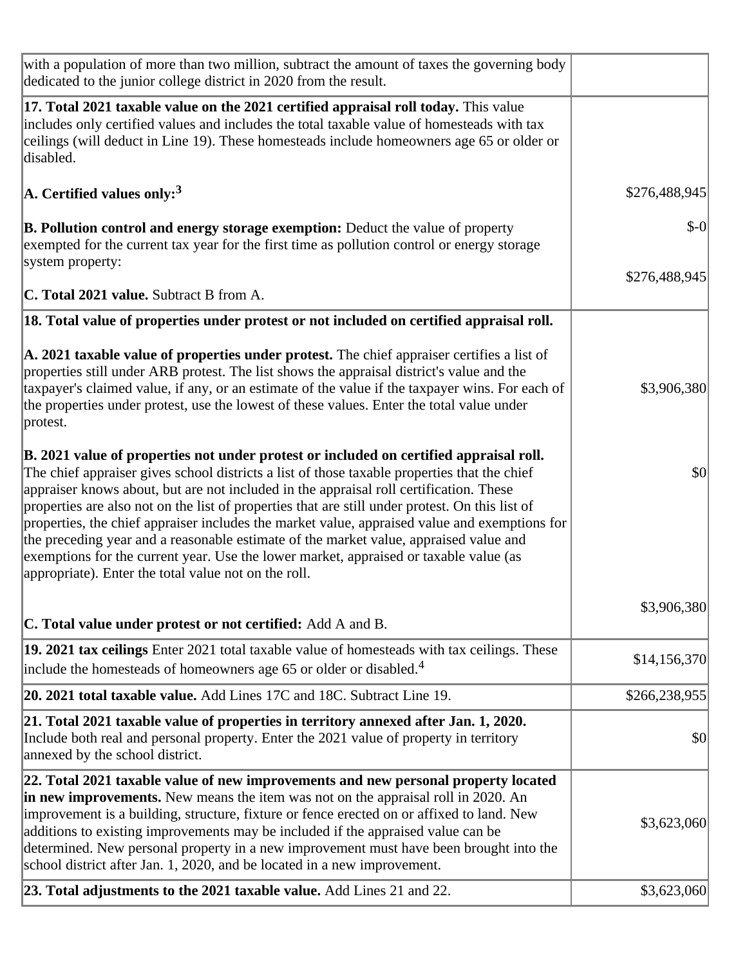| with a population of more than two million, subtract the amount of taxes the governing body<br>dedicated to the junior college district in 2020 from the result.                                                                                                                                                                                                                                                                                                                                                                                                                                                                                                                                                               |               |
|--------------------------------------------------------------------------------------------------------------------------------------------------------------------------------------------------------------------------------------------------------------------------------------------------------------------------------------------------------------------------------------------------------------------------------------------------------------------------------------------------------------------------------------------------------------------------------------------------------------------------------------------------------------------------------------------------------------------------------|---------------|
| 17. Total 2021 taxable value on the 2021 certified appraisal roll today. This value<br>includes only certified values and includes the total taxable value of homesteads with tax<br>ceilings (will deduct in Line 19). These homesteads include homeowners age 65 or older or<br>disabled.                                                                                                                                                                                                                                                                                                                                                                                                                                    |               |
| $\vert$ A. Certified values only: <sup>3</sup>                                                                                                                                                                                                                                                                                                                                                                                                                                                                                                                                                                                                                                                                                 | \$276,488,945 |
| <b>B. Pollution control and energy storage exemption:</b> Deduct the value of property<br>exempted for the current tax year for the first time as pollution control or energy storage<br>system property:                                                                                                                                                                                                                                                                                                                                                                                                                                                                                                                      | $$-0$         |
| <b>C. Total 2021 value.</b> Subtract B from A.                                                                                                                                                                                                                                                                                                                                                                                                                                                                                                                                                                                                                                                                                 | \$276,488,945 |
|                                                                                                                                                                                                                                                                                                                                                                                                                                                                                                                                                                                                                                                                                                                                |               |
| 18. Total value of properties under protest or not included on certified appraisal roll.                                                                                                                                                                                                                                                                                                                                                                                                                                                                                                                                                                                                                                       |               |
| $\vert$ A. 2021 taxable value of properties under protest. The chief appraiser certifies a list of<br>properties still under ARB protest. The list shows the appraisal district's value and the<br>taxpayer's claimed value, if any, or an estimate of the value if the taxpayer wins. For each of<br>the properties under protest, use the lowest of these values. Enter the total value under<br>protest.                                                                                                                                                                                                                                                                                                                    | \$3,906,380   |
| B. 2021 value of properties not under protest or included on certified appraisal roll.<br>The chief appraiser gives school districts a list of those taxable properties that the chief<br>appraiser knows about, but are not included in the appraisal roll certification. These<br>properties are also not on the list of properties that are still under protest. On this list of<br>properties, the chief appraiser includes the market value, appraised value and exemptions for<br>the preceding year and a reasonable estimate of the market value, appraised value and<br>exemptions for the current year. Use the lower market, appraised or taxable value (as<br>appropriate). Enter the total value not on the roll. | \$0           |
| <b>C. Total value under protest or not certified:</b> Add A and B.                                                                                                                                                                                                                                                                                                                                                                                                                                                                                                                                                                                                                                                             | \$3,906,380   |
| 19. 2021 tax ceilings Enter 2021 total taxable value of homesteads with tax ceilings. These<br>include the homesteads of homeowners age 65 or older or disabled. <sup>4</sup>                                                                                                                                                                                                                                                                                                                                                                                                                                                                                                                                                  | \$14,156,370  |
| 20. 2021 total taxable value. Add Lines 17C and 18C. Subtract Line 19.                                                                                                                                                                                                                                                                                                                                                                                                                                                                                                                                                                                                                                                         | \$266,238,955 |
| 21. Total 2021 taxable value of properties in territory annexed after Jan. 1, 2020.<br>Include both real and personal property. Enter the 2021 value of property in territory<br>annexed by the school district.                                                                                                                                                                                                                                                                                                                                                                                                                                                                                                               | \$0           |
| 22. Total 2021 taxable value of new improvements and new personal property located<br>in new improvements. New means the item was not on the appraisal roll in 2020. An<br>improvement is a building, structure, fixture or fence erected on or affixed to land. New<br>additions to existing improvements may be included if the appraised value can be<br>determined. New personal property in a new improvement must have been brought into the<br>school district after Jan. 1, 2020, and be located in a new improvement.                                                                                                                                                                                                 | \$3,623,060   |
| 23. Total adjustments to the 2021 taxable value. Add Lines 21 and 22.                                                                                                                                                                                                                                                                                                                                                                                                                                                                                                                                                                                                                                                          | \$3,623,060   |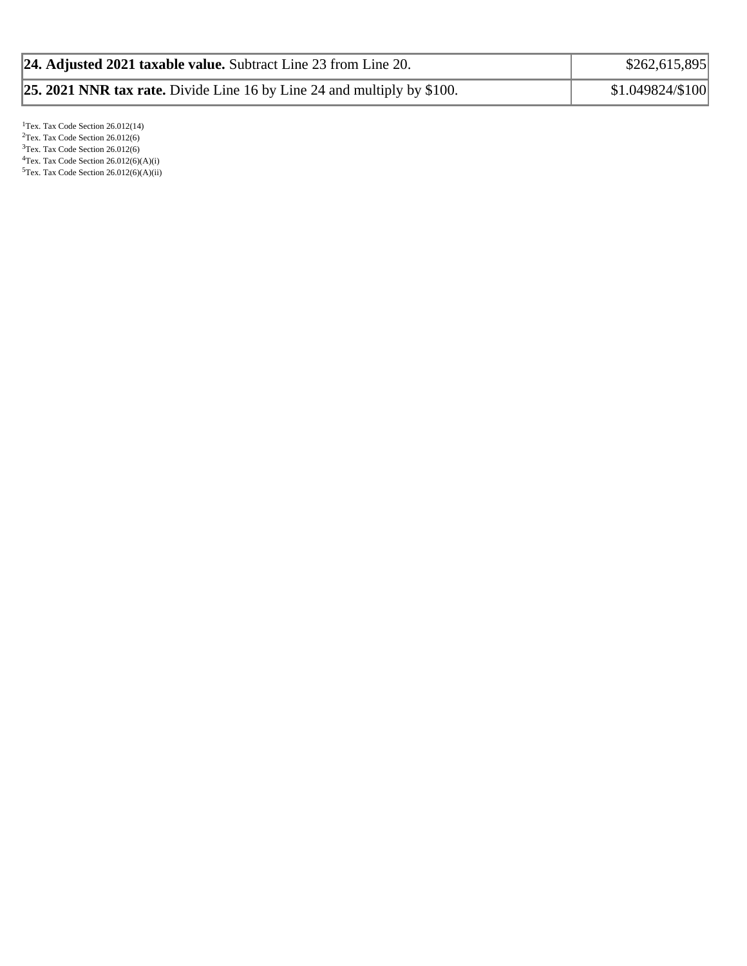| 24. Adjusted 2021 taxable value. Subtract Line 23 from Line 20.                | \$262,615,895    |
|--------------------------------------------------------------------------------|------------------|
| <b>25. 2021 NNR tax rate.</b> Divide Line 16 by Line 24 and multiply by \$100. | \$1.049824/\$100 |

<sup>1</sup>Tex. Tax Code Section 26.012(14)  $2$ Tex. Tax Code Section 26.012(6) <sup>3</sup>Tex. Tax Code Section 26.012(6)  ${}^{4}$ Tex. Tax Code Section 26.012(6)(A)(i)  $5$ Tex. Tax Code Section 26.012(6)(A)(ii)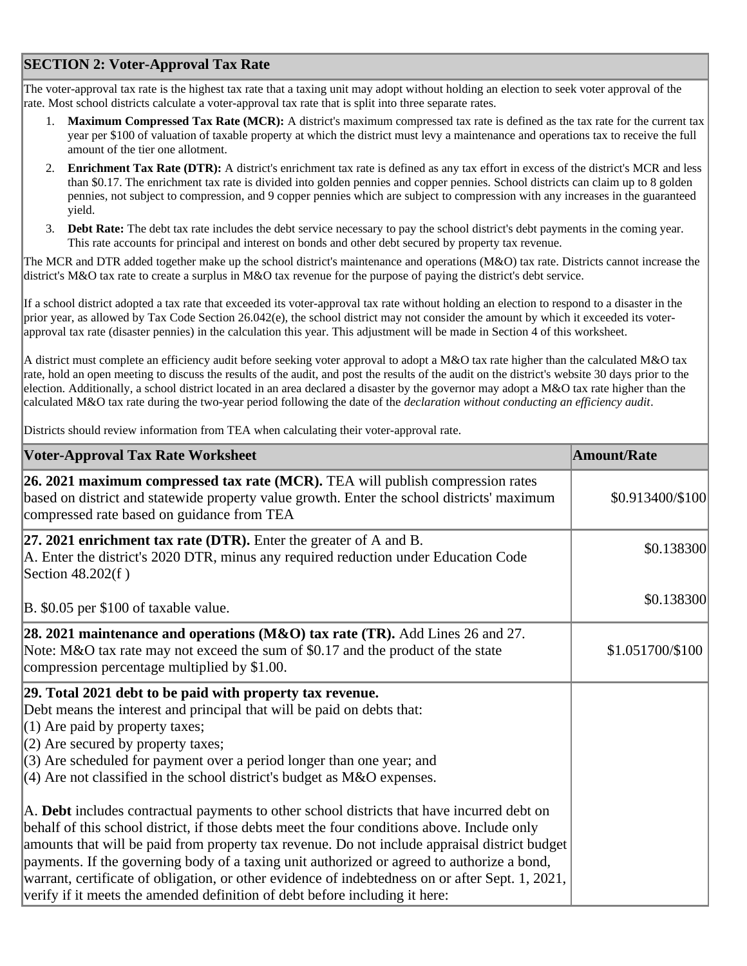## **SECTION 2: Voter-Approval Tax Rate**

The voter-approval tax rate is the highest tax rate that a taxing unit may adopt without holding an election to seek voter approval of the rate. Most school districts calculate a voter-approval tax rate that is split into three separate rates.

- 1. **Maximum Compressed Tax Rate (MCR):** A district's maximum compressed tax rate is defined as the tax rate for the current tax year per \$100 of valuation of taxable property at which the district must levy a maintenance and operations tax to receive the full amount of the tier one allotment.
- 2. **Enrichment Tax Rate (DTR):** A district's enrichment tax rate is defined as any tax effort in excess of the district's MCR and less than \$0.17. The enrichment tax rate is divided into golden pennies and copper pennies. School districts can claim up to 8 golden pennies, not subject to compression, and 9 copper pennies which are subject to compression with any increases in the guaranteed yield.
- 3. **Debt Rate:** The debt tax rate includes the debt service necessary to pay the school district's debt payments in the coming year. This rate accounts for principal and interest on bonds and other debt secured by property tax revenue.

The MCR and DTR added together make up the school district's maintenance and operations (M&O) tax rate. Districts cannot increase the district's M&O tax rate to create a surplus in M&O tax revenue for the purpose of paying the district's debt service.

If a school district adopted a tax rate that exceeded its voter-approval tax rate without holding an election to respond to a disaster in the prior year, as allowed by Tax Code Section 26.042(e), the school district may not consider the amount by which it exceeded its voterapproval tax rate (disaster pennies) in the calculation this year. This adjustment will be made in Section 4 of this worksheet.

A district must complete an efficiency audit before seeking voter approval to adopt a M&O tax rate higher than the calculated M&O tax rate, hold an open meeting to discuss the results of the audit, and post the results of the audit on the district's website 30 days prior to the election. Additionally, a school district located in an area declared a disaster by the governor may adopt a M&O tax rate higher than the calculated M&O tax rate during the two-year period following the date of the *declaration without conducting an efficiency audit*.

Districts should review information from TEA when calculating their voter-approval rate.

| <b>Voter-Approval Tax Rate Worksheet</b>                                                                                                                                                                                                                                                                                                                                                                                                                                                                                                                                    | Amount/Rate      |
|-----------------------------------------------------------------------------------------------------------------------------------------------------------------------------------------------------------------------------------------------------------------------------------------------------------------------------------------------------------------------------------------------------------------------------------------------------------------------------------------------------------------------------------------------------------------------------|------------------|
| 26. 2021 maximum compressed tax rate (MCR). TEA will publish compression rates<br>based on district and statewide property value growth. Enter the school districts' maximum<br>compressed rate based on guidance from TEA                                                                                                                                                                                                                                                                                                                                                  | \$0.913400/\$100 |
| $ 27.2021$ enrichment tax rate (DTR). Enter the greater of A and B.<br>A. Enter the district's 2020 DTR, minus any required reduction under Education Code<br>Section 48.202(f)                                                                                                                                                                                                                                                                                                                                                                                             | \$0.138300       |
| B. \$0.05 per \$100 of taxable value.                                                                                                                                                                                                                                                                                                                                                                                                                                                                                                                                       | \$0.138300       |
| 28. 2021 maintenance and operations (M&O) tax rate (TR). Add Lines 26 and 27.<br>Note: M&O tax rate may not exceed the sum of \$0.17 and the product of the state<br>compression percentage multiplied by \$1.00.                                                                                                                                                                                                                                                                                                                                                           | \$1.051700/\$100 |
| 29. Total 2021 debt to be paid with property tax revenue.<br>Debt means the interest and principal that will be paid on debts that:<br>$(1)$ Are paid by property taxes;<br>$(2)$ Are secured by property taxes;<br>$(3)$ Are scheduled for payment over a period longer than one year; and<br>$(4)$ Are not classified in the school district's budget as M&O expenses.                                                                                                                                                                                                    |                  |
| A. Debt includes contractual payments to other school districts that have incurred debt on<br>behalf of this school district, if those debts meet the four conditions above. Include only<br>amounts that will be paid from property tax revenue. Do not include appraisal district budget<br>payments. If the governing body of a taxing unit authorized or agreed to authorize a bond,<br>warrant, certificate of obligation, or other evidence of indebtedness on or after Sept. 1, 2021,<br>verify if it meets the amended definition of debt before including it here: |                  |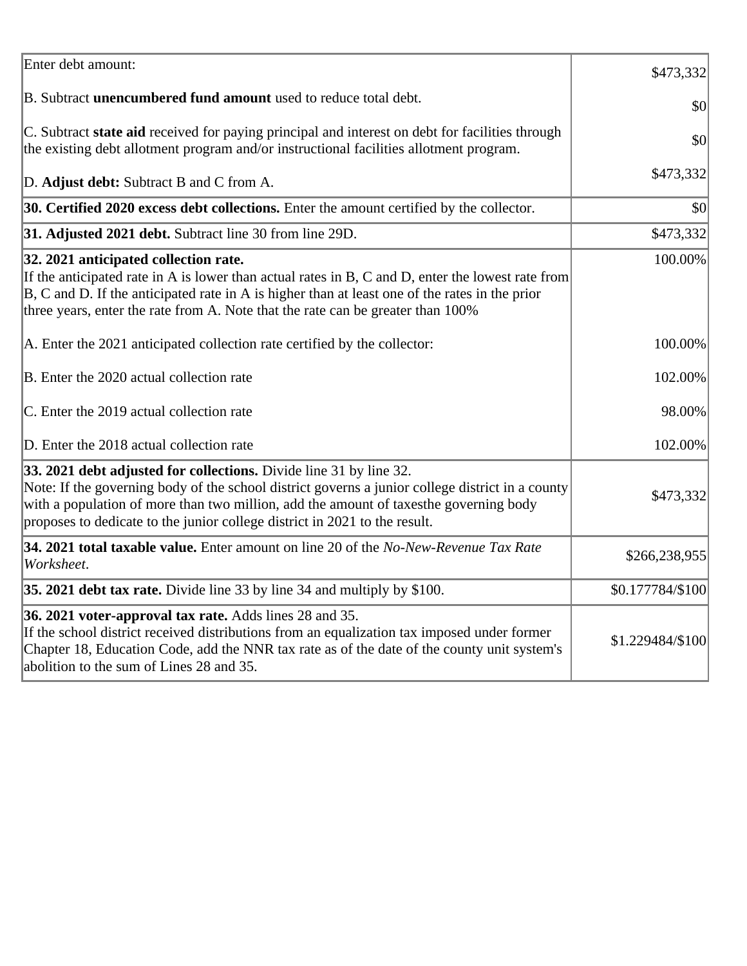| Enter debt amount:                                                                                                                                                                                                                                                                                                                            | \$473,332        |
|-----------------------------------------------------------------------------------------------------------------------------------------------------------------------------------------------------------------------------------------------------------------------------------------------------------------------------------------------|------------------|
| B. Subtract <b>unencumbered fund amount</b> used to reduce total debt.                                                                                                                                                                                                                                                                        | \$0              |
| C. Subtract state aid received for paying principal and interest on debt for facilities through<br>the existing debt allotment program and/or instructional facilities allotment program.                                                                                                                                                     | \$0              |
| D. Adjust debt: Subtract B and C from A.                                                                                                                                                                                                                                                                                                      | \$473,332        |
| 30. Certified 2020 excess debt collections. Enter the amount certified by the collector.                                                                                                                                                                                                                                                      | \$0              |
| 31. Adjusted 2021 debt. Subtract line 30 from line 29D.                                                                                                                                                                                                                                                                                       | \$473,332        |
| 32. 2021 anticipated collection rate.<br>If the anticipated rate in A is lower than actual rates in B, C and D, enter the lowest rate from<br>$ B, C$ and D. If the anticipated rate in A is higher than at least one of the rates in the prior<br>three years, enter the rate from A. Note that the rate can be greater than 100%            | 100.00%          |
| A. Enter the 2021 anticipated collection rate certified by the collector:                                                                                                                                                                                                                                                                     | 100.00%          |
| B. Enter the 2020 actual collection rate                                                                                                                                                                                                                                                                                                      | 102.00%          |
| C. Enter the 2019 actual collection rate                                                                                                                                                                                                                                                                                                      | 98.00%           |
| D. Enter the 2018 actual collection rate                                                                                                                                                                                                                                                                                                      | 102.00%          |
| 33. 2021 debt adjusted for collections. Divide line 31 by line 32.<br>Note: If the governing body of the school district governs a junior college district in a county<br>with a population of more than two million, add the amount of taxesthe governing body<br>proposes to dedicate to the junior college district in 2021 to the result. | \$473,332        |
| 34. 2021 total taxable value. Enter amount on line 20 of the No-New-Revenue Tax Rate<br>Worksheet.                                                                                                                                                                                                                                            | \$266,238,955    |
| 35. 2021 debt tax rate. Divide line 33 by line 34 and multiply by \$100.                                                                                                                                                                                                                                                                      | \$0.177784/\$100 |
| 36. 2021 voter-approval tax rate. Adds lines 28 and 35.<br>If the school district received distributions from an equalization tax imposed under former<br>Chapter 18, Education Code, add the NNR tax rate as of the date of the county unit system's<br>abolition to the sum of Lines 28 and 35.                                             | \$1.229484/\$100 |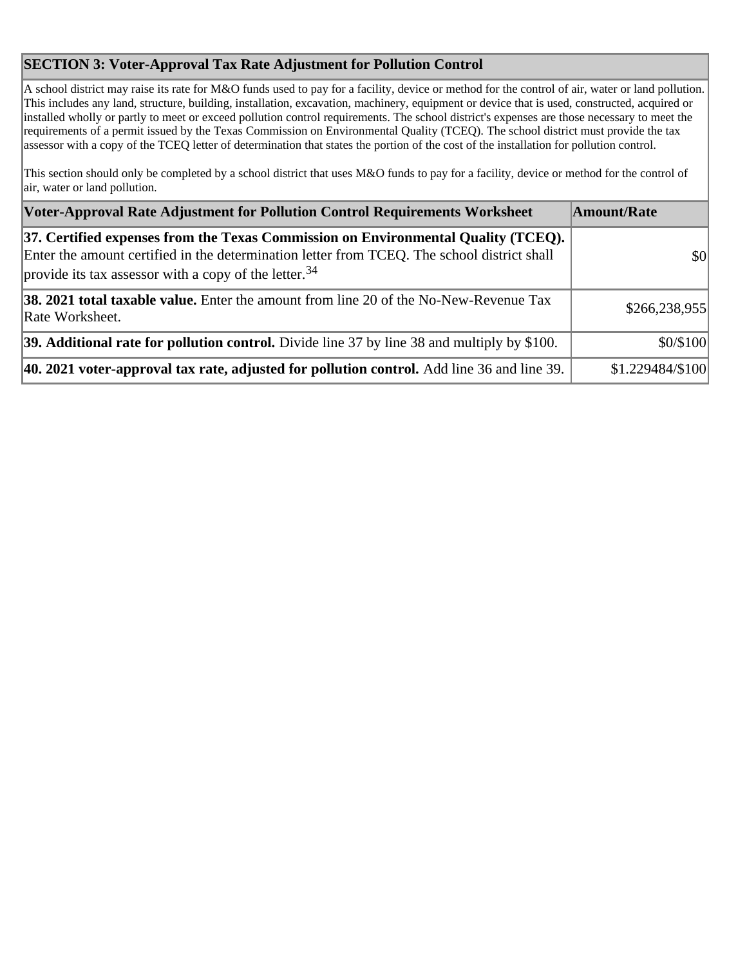## **SECTION 3: Voter-Approval Tax Rate Adjustment for Pollution Control**

A school district may raise its rate for M&O funds used to pay for a facility, device or method for the control of air, water or land pollution. This includes any land, structure, building, installation, excavation, machinery, equipment or device that is used, constructed, acquired or installed wholly or partly to meet or exceed pollution control requirements. The school district's expenses are those necessary to meet the requirements of a permit issued by the Texas Commission on Environmental Quality (TCEQ). The school district must provide the tax assessor with a copy of the TCEQ letter of determination that states the portion of the cost of the installation for pollution control.

This section should only be completed by a school district that uses M&O funds to pay for a facility, device or method for the control of air, water or land pollution.

| Voter-Approval Rate Adjustment for Pollution Control Requirements Worksheet                                                                                                                                                                            | Amount/Rate      |
|--------------------------------------------------------------------------------------------------------------------------------------------------------------------------------------------------------------------------------------------------------|------------------|
| [37. Certified expenses from the Texas Commission on Environmental Quality (TCEQ).<br>Enter the amount certified in the determination letter from TCEQ. The school district shall<br>provide its tax assessor with a copy of the letter. <sup>34</sup> | \$0              |
| <b>38. 2021 total taxable value.</b> Enter the amount from line 20 of the No-New-Revenue Tax<br>Rate Worksheet.                                                                                                                                        | \$266,238,955    |
| 39. Additional rate for pollution control. Divide line 37 by line 38 and multiply by \$100.                                                                                                                                                            | \$0/\$100        |
| 40. 2021 voter-approval tax rate, adjusted for pollution control. Add line 36 and line 39.                                                                                                                                                             | \$1.229484/\$100 |